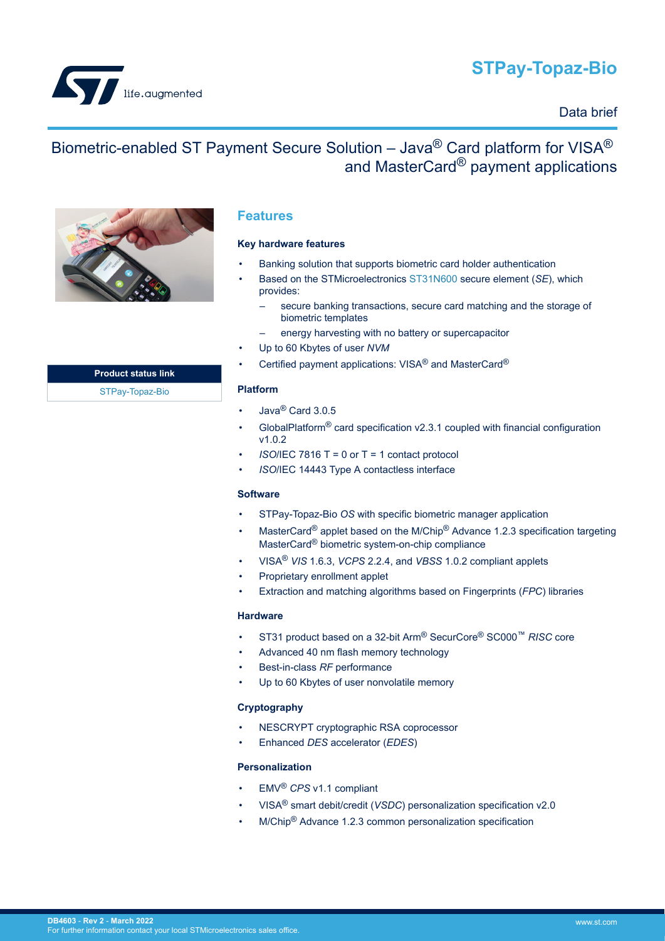# **STPay-Topaz-Bio**

<span id="page-0-0"></span>

## Data brief

## Biometric-enabled ST Payment Secure Solution – Java® Card platform for VISA® and MasterCard® payment applications



## **Features**

#### **Key hardware features**

- Banking solution that supports biometric card holder authentication
- Based on the STMicroelectronics [ST31N600](https://www.st.com/en/product/st31n600?ecmp=tt9470_gl_link_feb2019&rt=db&id=DB4603) secure element (*[SE](#page-7-0)*), which provides:
	- secure banking transactions, secure card matching and the storage of biometric templates
	- energy harvesting with no battery or supercapacitor
- Up to 60 Kbytes of user *[NVM](#page-7-0)*
- Certified payment applications: VISA® and MasterCard®

#### **Platform**

- Java® Card 3.0.5
- GlobalPlatform<sup>®</sup> card specification  $v2.3.1$  coupled with financial configuration v1.0.2
- *[ISO](#page-7-0)*/IEC 7816 T = 0 or T = 1 contact protocol
- *[ISO](#page-7-0)*/IEC 14443 Type A contactless interface

#### **Software**

- STPay-Topaz-Bio *[OS](#page-7-0)* with specific biometric manager application
- MasterCard<sup>®</sup> applet based on the M/Chip<sup>®</sup> Advance 1.2.3 specification targeting MasterCard® biometric system-on-chip compliance
- VISA® *[VIS](#page-7-0)* 1.6.3, *[VCPS](#page-7-0)* 2.2.4, and *[VBSS](#page-7-0)* 1.0.2 compliant applets
- Proprietary enrollment applet
- Extraction and matching algorithms based on Fingerprints (*[FPC](#page-7-0)*) libraries

#### **Hardware**

- ST31 product based on a 32-bit Arm® SecurCore® SC000™ *[RISC](#page-7-0)* core
- Advanced 40 nm flash memory technology
- Best-in-class *[RF](#page-7-0)* performance
- Up to 60 Kbytes of user nonvolatile memory

#### **Cryptography**

- NESCRYPT cryptographic RSA coprocessor
- Enhanced *[DES](#page-7-0)* accelerator (*[EDES](#page-7-0)*)

#### **Personalization**

- EMV® *[CPS](#page-7-0)* v1.1 compliant
- VISA® smart debit/credit (*[VSDC](#page-7-0)*) personalization specification v2.0
- M/Chip® Advance 1.2.3 common personalization specification

**Product status link** [STPay-Topaz-Bio](https://www.st.com/en/product/STPay-Topaz-Bio?ecmp=tt9470_gl_link_feb2019&rt=db&id=DB4603)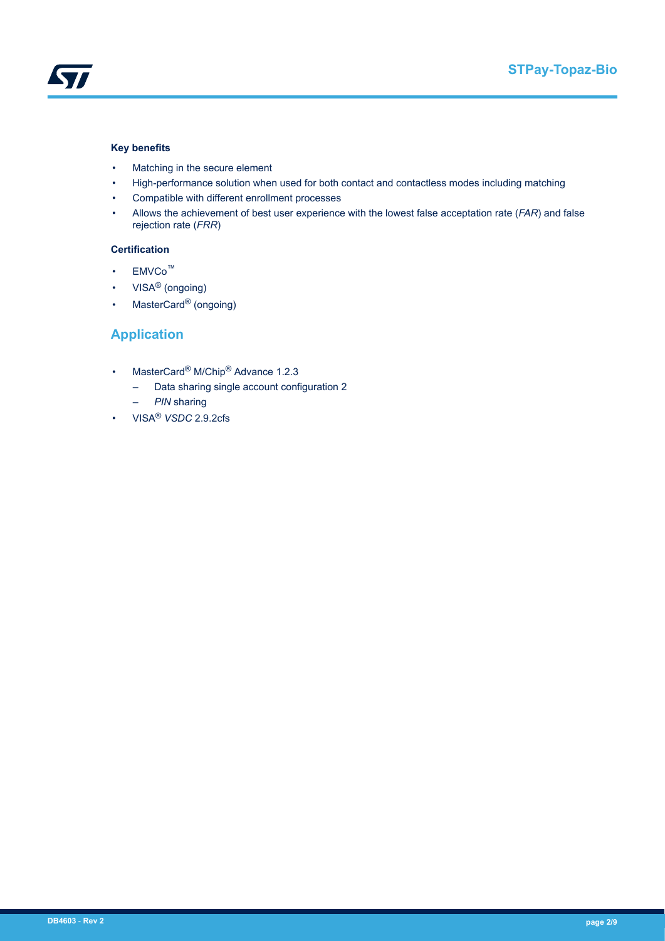<span id="page-1-0"></span>

#### **Key benefits**

- Matching in the secure element
- High-performance solution when used for both contact and contactless modes including matching
- Compatible with different enrollment processes
- Allows the achievement of best user experience with the lowest false acceptation rate (*[FAR](#page-7-0)*) and false rejection rate (*[FRR](#page-7-0)*)

#### **Certification**

- EMVCo™
- VISA® (ongoing)
- MasterCard® (ongoing)

## **Application**

- MasterCard<sup>®</sup> M/Chip<sup>®</sup> Advance 1.2.3
	- Data sharing single account configuration 2
	- *[PIN](#page-7-0)* sharing
- VISA® *[VSDC](#page-7-0)* 2.9.2cfs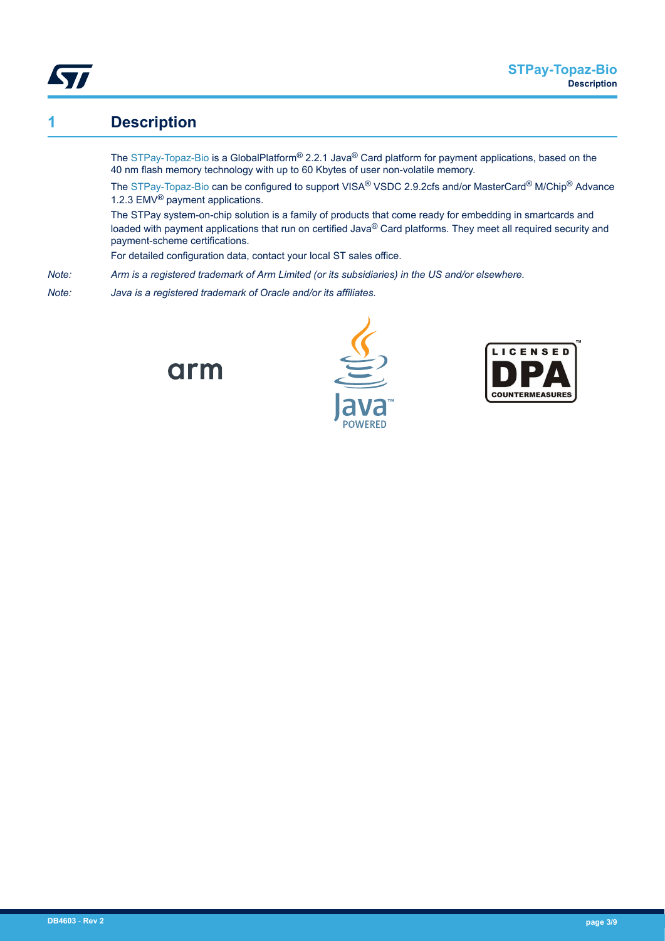<span id="page-2-0"></span>

## **1 Description**

The [STPay-Topaz-Bio](https://www.st.com/en/product/STPay-Topaz-Bio?ecmp=tt9470_gl_link_feb2019&rt=db&id=DB4603) is a GlobalPlatform® 2.2.1 Java® Card platform for payment applications, based on the 40 nm flash memory technology with up to 60 Kbytes of user non-volatile memory.

The [STPay-Topaz-Bio](https://www.st.com/en/product/STPay-Topaz-Bio?ecmp=tt9470_gl_link_feb2019&rt=db&id=DB4603) can be configured to support VISA® VSDC 2.9.2cfs and/or MasterCard® M/Chip® Advance 1.2.3 EMV® payment applications.

The STPay system-on-chip solution is a family of products that come ready for embedding in smartcards and loaded with payment applications that run on certified Java® Card platforms. They meet all required security and payment-scheme certifications.

For detailed configuration data, contact your local ST sales office.

*Note: Arm is a registered trademark of Arm Limited (or its subsidiaries) in the US and/or elsewhere.*

*Note: Java is a registered trademark of Oracle and/or its affiliates.*





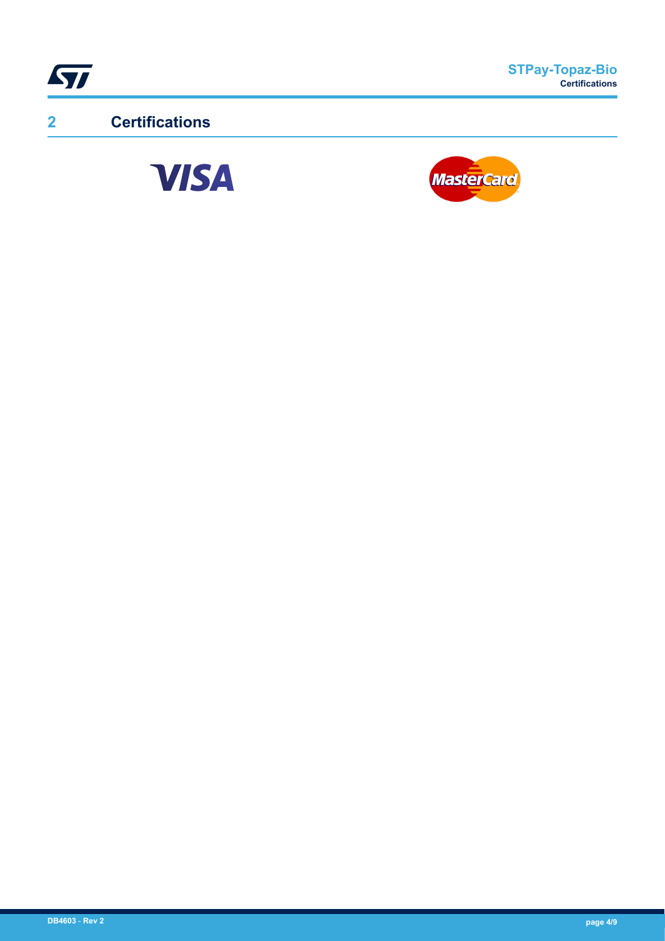<span id="page-3-0"></span>

**2 Certifications**



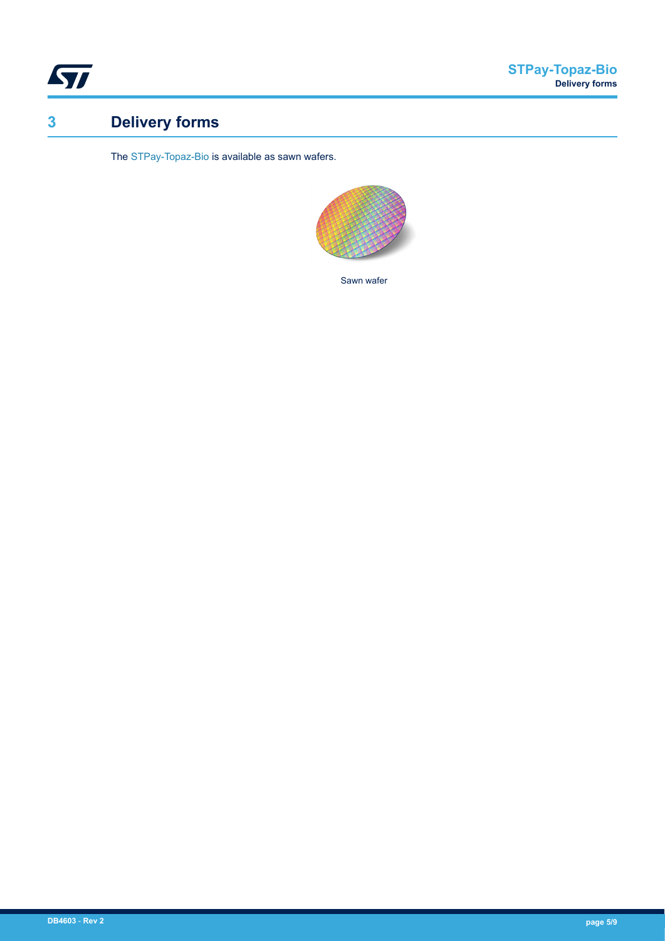<span id="page-4-0"></span>

# **3 Delivery forms**

The [STPay-Topaz-Bio](https://www.st.com/en/product/STPay-Topaz-Bio?ecmp=tt9470_gl_link_feb2019&rt=db&id=DB4603) is available as sawn wafers.



Sawn wafer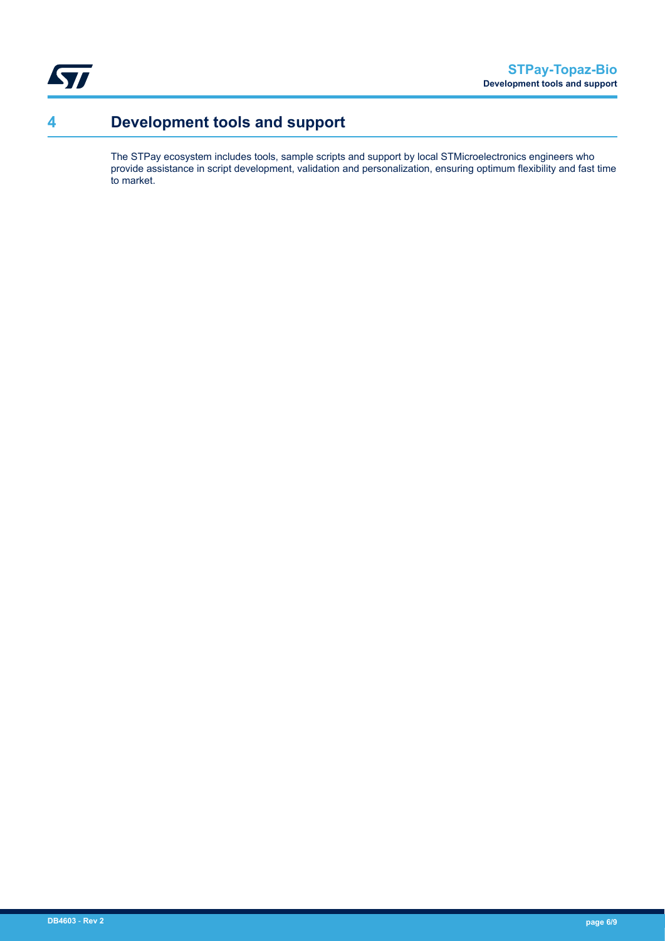<span id="page-5-0"></span>

# **4 Development tools and support**

The STPay ecosystem includes tools, sample scripts and support by local STMicroelectronics engineers who provide assistance in script development, validation and personalization, ensuring optimum flexibility and fast time to market.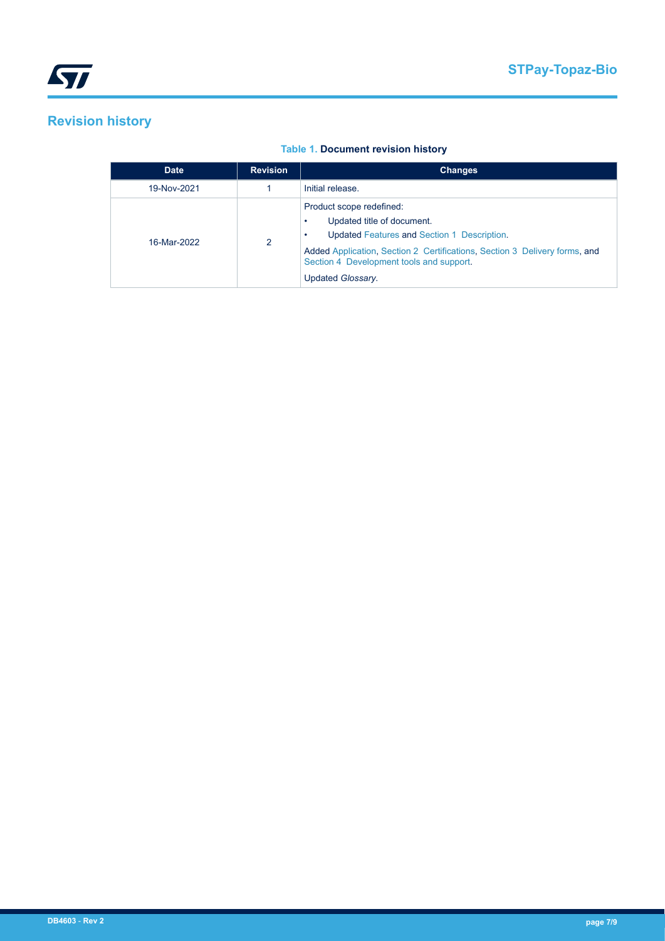## **Revision history**

### **Table 1. Document revision history**

| <b>Date</b> | <b>Revision</b> | <b>Changes</b>                                                                                                                                                                                                                                       |
|-------------|-----------------|------------------------------------------------------------------------------------------------------------------------------------------------------------------------------------------------------------------------------------------------------|
| 19-Nov-2021 |                 | Initial release.                                                                                                                                                                                                                                     |
| 16-Mar-2022 | $\mathfrak{p}$  | Product scope redefined:<br>Updated title of document.<br>Updated Features and Section 1 Description.<br>Added Application, Section 2 Certifications, Section 3 Delivery forms, and<br>Section 4 Development tools and support.<br>Updated Glossary. |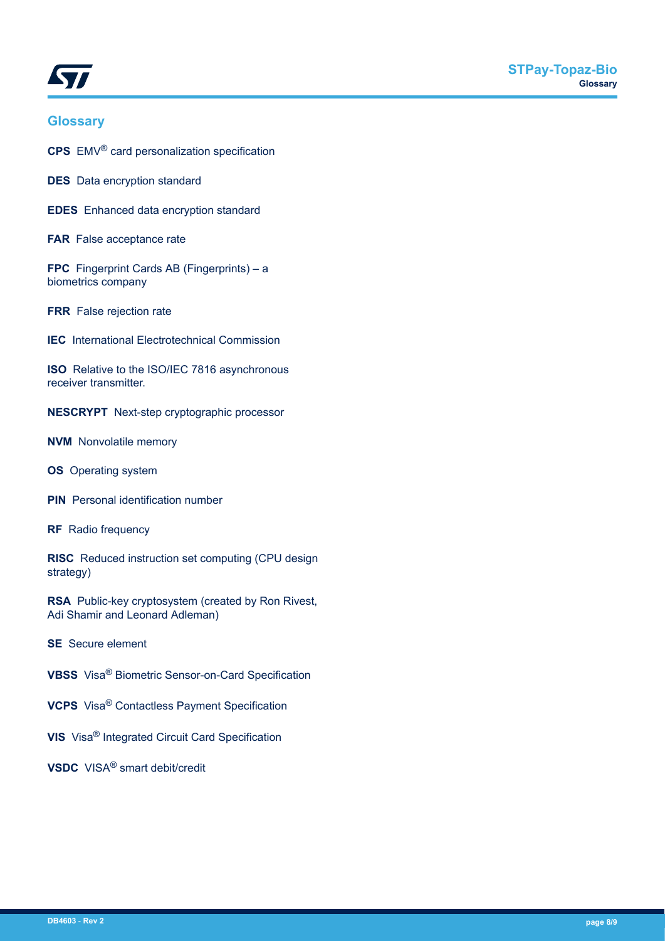<span id="page-7-0"></span>

### **Glossary**

**CPS** EMV® card personalization specification

**DES** Data encryption standard

**EDES** Enhanced data encryption standard

**FAR** False acceptance rate

**FPC** Fingerprint Cards AB (Fingerprints) – a biometrics company

**FRR** False rejection rate

**IEC** International Electrotechnical Commission

**ISO** Relative to the ISO/IEC 7816 asynchronous receiver transmitter.

**NESCRYPT** Next-step cryptographic processor

**NVM** Nonvolatile memory

**OS** Operating system

**PIN** Personal identification number

**RF** Radio frequency

**RISC** Reduced instruction set computing (CPU design strategy)

**RSA** Public-key cryptosystem (created by Ron Rivest, Adi Shamir and Leonard Adleman)

**SE** Secure element

**VBSS** Visa® Biometric Sensor-on-Card Specification

**VCPS** Visa® Contactless Payment Specification

**VIS** Visa® Integrated Circuit Card Specification

**VSDC** VISA® smart debit/credit